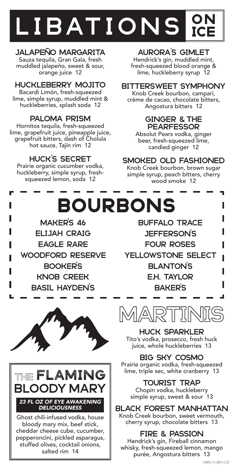## **LIBATIONS ON** Ice

## JALAPEÑO MARGARITA

Sauza tequila, Gran Gala, fresh muddled jalapeño, sweet & sour, orange juice 12

## HUCKLEBERRY MOJITO

Bacardi Limón, fresh-squeezed lime, simple syrup, muddled mint & huckleberries, splash soda 12

## PALOMA PRISM

Hornitos tequila, fresh-squeezed lime, grapefruit juice, pineapple juice, grapefruit bitters, dash of Cholula hot sauce, Tajín rim 12

## HUCK'S SECRET

Prairie organic cucumber vodka, huckleberry, simple syrup, freshsqueezed lemon, soda 12

## AURORA'S GIMLET

Hendrick's gin, muddled mint, fresh-squeezed blood orange & lime, huckleberry syrup 12

### BITTERSWEET SYMPHONY

Knob Creek bourbon, campari, crème de cacao, chocolate bitters, Angostura bitters 12

#### GINGER & THE **PEARFESSOR**

Absolut Pears vodka, ginger beer, fresh-squeezed lime, candied ginger 12

## SMOKED OLD FASHIONED

Knob Creek bourbon, brown sugar simple syrup, peach bitters, cherry wood smoke 12

ı

# BOURBONS

MAKER'S 46 ELIJAH CRAIG EAGLE RARE WOODFORD RESERVE BOOKER'S KNOB CREEK BASIL HAYDEN'S





Ghost chili-infused vodka, house bloody mary mix, beef stick, cheddar cheese cube, cucumber, pepperoncini, pickled asparagus, stuffed olives, cocktail onions, salted rim 14

BUFFALO TRACE JEFFERSON'S FOUR ROSES YELLOWSTONE SELECT BLANTON'S E.H. TAYLOR BAKER'S



HUCK SPARKLER Tito's vodka, prosecco, fresh huck juice, whole huckleberries 13

## BIG SKY COSMO

Prairie organic vodka, fresh-squeezed lime, triple sec, white cranberry 13

## TOURIST TRAP

Chopin vodka, huckleberry simple syrup, sweet & sour 13

#### BLACK FOREST MANHATTAN Knob Creek bourbon, sweet vermouth,

cherry syrup, chocolate bitters 13

## FIRE & PASSION

Hendrick's gin, Fireball cinnamon whisky, fresh-squeezed lemon, mango purée, Angostura bitters 13